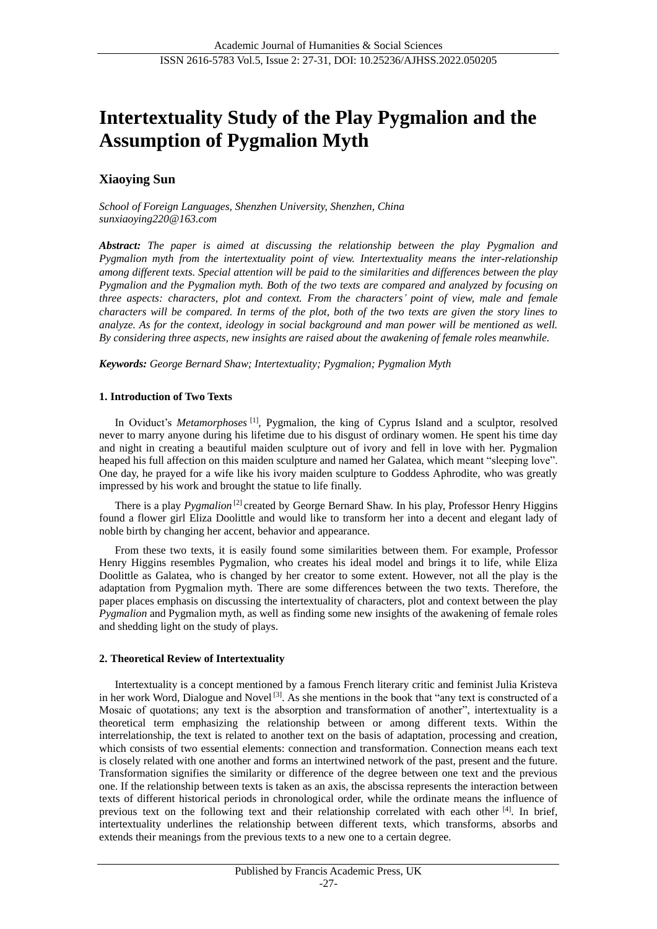# **Intertextuality Study of the Play Pygmalion and the Assumption of Pygmalion Myth**

## **Xiaoying Sun**

*School of Foreign Languages, Shenzhen University, Shenzhen, China sunxiaoying220@163.com*

*Abstract: The paper is aimed at discussing the relationship between the play Pygmalion and Pygmalion myth from the intertextuality point of view. Intertextuality means the inter-relationship among different texts. Special attention will be paid to the similarities and differences between the play Pygmalion and the Pygmalion myth. Both of the two texts are compared and analyzed by focusing on three aspects: characters, plot and context. From the characters' point of view, male and female characters will be compared. In terms of the plot, both of the two texts are given the story lines to analyze. As for the context, ideology in social background and man power will be mentioned as well. By considering three aspects, new insights are raised about the awakening of female roles meanwhile.*

*Keywords: George Bernard Shaw; Intertextuality; Pygmalion; Pygmalion Myth*

## **1. Introduction of Two Texts**

In Oviduct's *Metamorphoses* [1], Pygmalion, the king of Cyprus Island and a sculptor, resolved never to marry anyone during his lifetime due to his disgust of ordinary women. He spent his time day and night in creating a beautiful maiden sculpture out of ivory and fell in love with her. Pygmalion heaped his full affection on this maiden sculpture and named her Galatea, which meant "sleeping love". One day, he prayed for a wife like his ivory maiden sculpture to Goddess Aphrodite, who was greatly impressed by his work and brought the statue to life finally.

There is a play *Pygmalion*<sup>[2]</sup> created by George Bernard Shaw. In his play, Professor Henry Higgins found a flower girl Eliza Doolittle and would like to transform her into a decent and elegant lady of noble birth by changing her accent, behavior and appearance.

From these two texts, it is easily found some similarities between them. For example, Professor Henry Higgins resembles Pygmalion, who creates his ideal model and brings it to life, while Eliza Doolittle as Galatea, who is changed by her creator to some extent. However, not all the play is the adaptation from Pygmalion myth. There are some differences between the two texts. Therefore, the paper places emphasis on discussing the intertextuality of characters, plot and context between the play *Pygmalion* and Pygmalion myth, as well as finding some new insights of the awakening of female roles and shedding light on the study of plays.

## **2. Theoretical Review of Intertextuality**

Intertextuality is a concept mentioned by a famous French literary critic and feminist Julia Kristeva in her work Word, Dialogue and Novel<sup>[3]</sup>. As she mentions in the book that "any text is constructed of a Mosaic of quotations; any text is the absorption and transformation of another", intertextuality is a theoretical term emphasizing the relationship between or among different texts. Within the interrelationship, the text is related to another text on the basis of adaptation, processing and creation, which consists of two essential elements: connection and transformation. Connection means each text is closely related with one another and forms an intertwined network of the past, present and the future. Transformation signifies the similarity or difference of the degree between one text and the previous one. If the relationship between texts is taken as an axis, the abscissa represents the interaction between texts of different historical periods in chronological order, while the ordinate means the influence of previous text on the following text and their relationship correlated with each other [4]. In brief, intertextuality underlines the relationship between different texts, which transforms, absorbs and extends their meanings from the previous texts to a new one to a certain degree.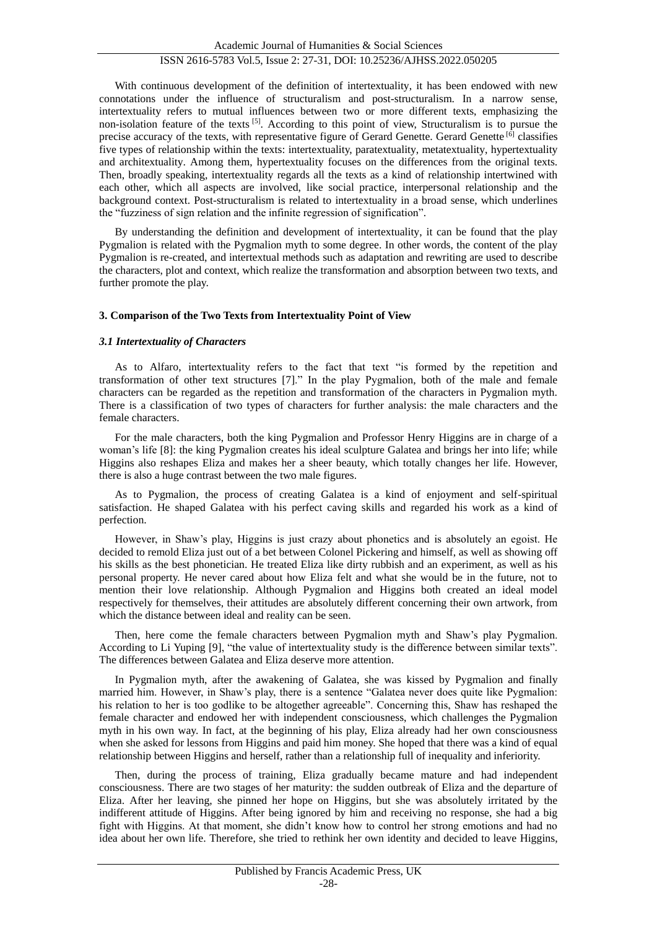With continuous development of the definition of intertextuality, it has been endowed with new connotations under the influence of structuralism and post-structuralism. In a narrow sense, intertextuality refers to mutual influences between two or more different texts, emphasizing the non-isolation feature of the texts  $[5]$ . According to this point of view, Structuralism is to pursue the precise accuracy of the texts, with representative figure of Gerard Genette. Gerard Genette [6] classifies five types of relationship within the texts: intertextuality, paratextuality, metatextuality, hypertextuality and architextuality. Among them, hypertextuality focuses on the differences from the original texts. Then, broadly speaking, intertextuality regards all the texts as a kind of relationship intertwined with each other, which all aspects are involved, like social practice, interpersonal relationship and the background context. Post-structuralism is related to intertextuality in a broad sense, which underlines the "fuzziness of sign relation and the infinite regression of signification".

By understanding the definition and development of intertextuality, it can be found that the play Pygmalion is related with the Pygmalion myth to some degree. In other words, the content of the play Pygmalion is re-created, and intertextual methods such as adaptation and rewriting are used to describe the characters, plot and context, which realize the transformation and absorption between two texts, and further promote the play.

## **3. Comparison of the Two Texts from Intertextuality Point of View**

## *3.1 Intertextuality of Characters*

As to Alfaro, intertextuality refers to the fact that text "is formed by the repetition and transformation of other text structures [7]." In the play Pygmalion, both of the male and female characters can be regarded as the repetition and transformation of the characters in Pygmalion myth. There is a classification of two types of characters for further analysis: the male characters and the female characters.

For the male characters, both the king Pygmalion and Professor Henry Higgins are in charge of a woman's life [8]: the king Pygmalion creates his ideal sculpture Galatea and brings her into life; while Higgins also reshapes Eliza and makes her a sheer beauty, which totally changes her life. However, there is also a huge contrast between the two male figures.

As to Pygmalion, the process of creating Galatea is a kind of enjoyment and self-spiritual satisfaction. He shaped Galatea with his perfect caving skills and regarded his work as a kind of perfection.

However, in Shaw's play, Higgins is just crazy about phonetics and is absolutely an egoist. He decided to remold Eliza just out of a bet between Colonel Pickering and himself, as well as showing off his skills as the best phonetician. He treated Eliza like dirty rubbish and an experiment, as well as his personal property. He never cared about how Eliza felt and what she would be in the future, not to mention their love relationship. Although Pygmalion and Higgins both created an ideal model respectively for themselves, their attitudes are absolutely different concerning their own artwork, from which the distance between ideal and reality can be seen.

Then, here come the female characters between Pygmalion myth and Shaw's play Pygmalion. According to Li Yuping [9], "the value of intertextuality study is the difference between similar texts". The differences between Galatea and Eliza deserve more attention.

In Pygmalion myth, after the awakening of Galatea, she was kissed by Pygmalion and finally married him. However, in Shaw's play, there is a sentence "Galatea never does quite like Pygmalion: his relation to her is too godlike to be altogether agreeable". Concerning this, Shaw has reshaped the female character and endowed her with independent consciousness, which challenges the Pygmalion myth in his own way. In fact, at the beginning of his play, Eliza already had her own consciousness when she asked for lessons from Higgins and paid him money. She hoped that there was a kind of equal relationship between Higgins and herself, rather than a relationship full of inequality and inferiority.

Then, during the process of training, Eliza gradually became mature and had independent consciousness. There are two stages of her maturity: the sudden outbreak of Eliza and the departure of Eliza. After her leaving, she pinned her hope on Higgins, but she was absolutely irritated by the indifferent attitude of Higgins. After being ignored by him and receiving no response, she had a big fight with Higgins. At that moment, she didn't know how to control her strong emotions and had no idea about her own life. Therefore, she tried to rethink her own identity and decided to leave Higgins,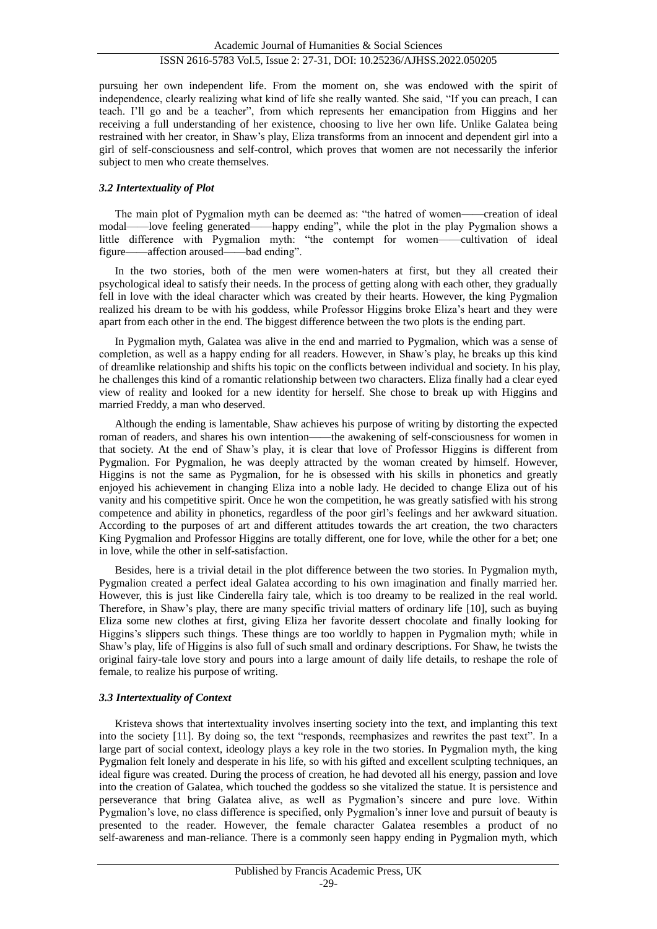pursuing her own independent life. From the moment on, she was endowed with the spirit of independence, clearly realizing what kind of life she really wanted. She said, "If you can preach, I can teach. I'll go and be a teacher", from which represents her emancipation from Higgins and her receiving a full understanding of her existence, choosing to live her own life. Unlike Galatea being restrained with her creator, in Shaw's play, Eliza transforms from an innocent and dependent girl into a girl of self-consciousness and self-control, which proves that women are not necessarily the inferior subject to men who create themselves.

## *3.2 Intertextuality of Plot*

The main plot of Pygmalion myth can be deemed as: "the hatred of women——creation of ideal modal——love feeling generated——happy ending", while the plot in the play Pygmalion shows a little difference with Pygmalion myth: "the contempt for women——cultivation of ideal figure——affection aroused——bad ending".

In the two stories, both of the men were women-haters at first, but they all created their psychological ideal to satisfy their needs. In the process of getting along with each other, they gradually fell in love with the ideal character which was created by their hearts. However, the king Pygmalion realized his dream to be with his goddess, while Professor Higgins broke Eliza's heart and they were apart from each other in the end. The biggest difference between the two plots is the ending part.

In Pygmalion myth, Galatea was alive in the end and married to Pygmalion, which was a sense of completion, as well as a happy ending for all readers. However, in Shaw's play, he breaks up this kind of dreamlike relationship and shifts his topic on the conflicts between individual and society. In his play, he challenges this kind of a romantic relationship between two characters. Eliza finally had a clear eyed view of reality and looked for a new identity for herself. She chose to break up with Higgins and married Freddy, a man who deserved.

Although the ending is lamentable, Shaw achieves his purpose of writing by distorting the expected roman of readers, and shares his own intention——the awakening of self-consciousness for women in that society. At the end of Shaw's play, it is clear that love of Professor Higgins is different from Pygmalion. For Pygmalion, he was deeply attracted by the woman created by himself. However, Higgins is not the same as Pygmalion, for he is obsessed with his skills in phonetics and greatly enjoyed his achievement in changing Eliza into a noble lady. He decided to change Eliza out of his vanity and his competitive spirit. Once he won the competition, he was greatly satisfied with his strong competence and ability in phonetics, regardless of the poor girl's feelings and her awkward situation. According to the purposes of art and different attitudes towards the art creation, the two characters King Pygmalion and Professor Higgins are totally different, one for love, while the other for a bet; one in love, while the other in self-satisfaction.

Besides, here is a trivial detail in the plot difference between the two stories. In Pygmalion myth, Pygmalion created a perfect ideal Galatea according to his own imagination and finally married her. However, this is just like Cinderella fairy tale, which is too dreamy to be realized in the real world. Therefore, in Shaw's play, there are many specific trivial matters of ordinary life [10], such as buying Eliza some new clothes at first, giving Eliza her favorite dessert chocolate and finally looking for Higgins's slippers such things. These things are too worldly to happen in Pygmalion myth; while in Shaw's play, life of Higgins is also full of such small and ordinary descriptions. For Shaw, he twists the original fairy-tale love story and pours into a large amount of daily life details, to reshape the role of female, to realize his purpose of writing.

## *3.3 Intertextuality of Context*

Kristeva shows that intertextuality involves inserting society into the text, and implanting this text into the society [11]. By doing so, the text "responds, reemphasizes and rewrites the past text". In a large part of social context, ideology plays a key role in the two stories. In Pygmalion myth, the king Pygmalion felt lonely and desperate in his life, so with his gifted and excellent sculpting techniques, an ideal figure was created. During the process of creation, he had devoted all his energy, passion and love into the creation of Galatea, which touched the goddess so she vitalized the statue. It is persistence and perseverance that bring Galatea alive, as well as Pygmalion's sincere and pure love. Within Pygmalion's love, no class difference is specified, only Pygmalion's inner love and pursuit of beauty is presented to the reader. However, the female character Galatea resembles a product of no self-awareness and man-reliance. There is a commonly seen happy ending in Pygmalion myth, which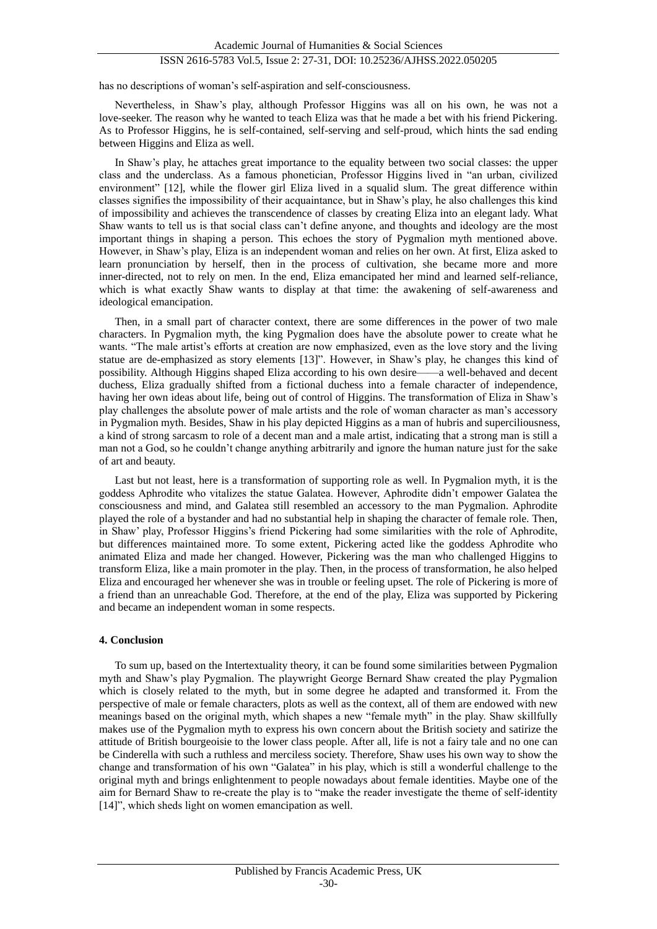## ISSN 2616-5783 Vol.5, Issue 2: 27-31, DOI: 10.25236/AJHSS.2022.050205

has no descriptions of woman's self-aspiration and self-consciousness.

Nevertheless, in Shaw's play, although Professor Higgins was all on his own, he was not a love-seeker. The reason why he wanted to teach Eliza was that he made a bet with his friend Pickering. As to Professor Higgins, he is self-contained, self-serving and self-proud, which hints the sad ending between Higgins and Eliza as well.

In Shaw's play, he attaches great importance to the equality between two social classes: the upper class and the underclass. As a famous phonetician, Professor Higgins lived in "an urban, civilized environment" [12], while the flower girl Eliza lived in a squalid slum. The great difference within classes signifies the impossibility of their acquaintance, but in Shaw's play, he also challenges this kind of impossibility and achieves the transcendence of classes by creating Eliza into an elegant lady. What Shaw wants to tell us is that social class can't define anyone, and thoughts and ideology are the most important things in shaping a person. This echoes the story of Pygmalion myth mentioned above. However, in Shaw's play, Eliza is an independent woman and relies on her own. At first, Eliza asked to learn pronunciation by herself, then in the process of cultivation, she became more and more inner-directed, not to rely on men. In the end, Eliza emancipated her mind and learned self-reliance, which is what exactly Shaw wants to display at that time: the awakening of self-awareness and ideological emancipation.

Then, in a small part of character context, there are some differences in the power of two male characters. In Pygmalion myth, the king Pygmalion does have the absolute power to create what he wants. "The male artist's efforts at creation are now emphasized, even as the love story and the living statue are de-emphasized as story elements [13]". However, in Shaw's play, he changes this kind of possibility. Although Higgins shaped Eliza according to his own desire——a well-behaved and decent duchess, Eliza gradually shifted from a fictional duchess into a female character of independence, having her own ideas about life, being out of control of Higgins. The transformation of Eliza in Shaw's play challenges the absolute power of male artists and the role of woman character as man's accessory in Pygmalion myth. Besides, Shaw in his play depicted Higgins as a man of hubris and superciliousness, a kind of strong sarcasm to role of a decent man and a male artist, indicating that a strong man is still a man not a God, so he couldn't change anything arbitrarily and ignore the human nature just for the sake of art and beauty.

Last but not least, here is a transformation of supporting role as well. In Pygmalion myth, it is the goddess Aphrodite who vitalizes the statue Galatea. However, Aphrodite didn't empower Galatea the consciousness and mind, and Galatea still resembled an accessory to the man Pygmalion. Aphrodite played the role of a bystander and had no substantial help in shaping the character of female role. Then, in Shaw' play, Professor Higgins's friend Pickering had some similarities with the role of Aphrodite, but differences maintained more. To some extent, Pickering acted like the goddess Aphrodite who animated Eliza and made her changed. However, Pickering was the man who challenged Higgins to transform Eliza, like a main promoter in the play. Then, in the process of transformation, he also helped Eliza and encouraged her whenever she was in trouble or feeling upset. The role of Pickering is more of a friend than an unreachable God. Therefore, at the end of the play, Eliza was supported by Pickering and became an independent woman in some respects.

#### **4. Conclusion**

To sum up, based on the Intertextuality theory, it can be found some similarities between Pygmalion myth and Shaw's play Pygmalion. The playwright George Bernard Shaw created the play Pygmalion which is closely related to the myth, but in some degree he adapted and transformed it. From the perspective of male or female characters, plots as well as the context, all of them are endowed with new meanings based on the original myth, which shapes a new "female myth" in the play. Shaw skillfully makes use of the Pygmalion myth to express his own concern about the British society and satirize the attitude of British bourgeoisie to the lower class people. After all, life is not a fairy tale and no one can be Cinderella with such a ruthless and merciless society. Therefore, Shaw uses his own way to show the change and transformation of his own "Galatea" in his play, which is still a wonderful challenge to the original myth and brings enlightenment to people nowadays about female identities. Maybe one of the aim for Bernard Shaw to re-create the play is to "make the reader investigate the theme of self-identity [14]", which sheds light on women emancipation as well.